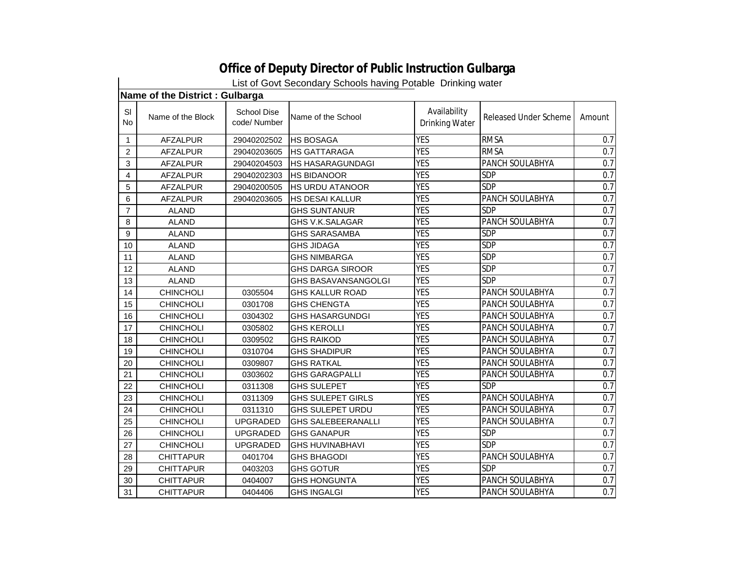|                 | List of Govt Secondary Schools having Potable Drinking water |                                    |                            |                                |                       |        |  |  |
|-----------------|--------------------------------------------------------------|------------------------------------|----------------------------|--------------------------------|-----------------------|--------|--|--|
|                 | Name of the District : Gulbarga                              |                                    |                            |                                |                       |        |  |  |
| SI<br><b>No</b> | Name of the Block                                            | <b>School Dise</b><br>code/ Number | Name of the School         | Availability<br>Drinking Water | Released Under Scheme | Amount |  |  |
| 1               | <b>AFZALPUR</b>                                              | 29040202502                        | <b>HS BOSAGA</b>           | <b>YES</b>                     | <b>RMSA</b>           | 0.7    |  |  |
| 2               | <b>AFZALPUR</b>                                              | 29040203605                        | <b>HS GATTARAGA</b>        | <b>YES</b>                     | <b>RMSA</b>           | 0.7    |  |  |
| 3               | <b>AFZALPUR</b>                                              | 29040204503                        | HS HASARAGUNDAGI           | <b>YES</b>                     | PANCH SOULABHYA       | 0.7    |  |  |
| 4               | <b>AFZALPUR</b>                                              | 29040202303                        | <b>HS BIDANOOR</b>         | <b>YES</b>                     | <b>SDP</b>            | 0.7    |  |  |
| 5               | <b>AFZALPUR</b>                                              | 29040200505                        | <b>HS URDU ATANOOR</b>     | <b>YES</b>                     | <b>SDP</b>            | 0.7    |  |  |
| 6               | <b>AFZALPUR</b>                                              | 29040203605                        | <b>HS DESAI KALLUR</b>     | <b>YES</b>                     | PANCH SOULABHYA       | 0.7    |  |  |
| 7               | <b>ALAND</b>                                                 |                                    | <b>GHS SUNTANUR</b>        | <b>YES</b>                     | <b>SDP</b>            | 0.7    |  |  |
| 8               | <b>ALAND</b>                                                 |                                    | GHS V.K.SALAGAR            | <b>YES</b>                     | PANCH SOULABHYA       | 0.7    |  |  |
| 9               | <b>ALAND</b>                                                 |                                    | <b>GHS SARASAMBA</b>       | <b>YES</b>                     | <b>SDP</b>            | 0.7    |  |  |
| 10              | <b>ALAND</b>                                                 |                                    | <b>GHS JIDAGA</b>          | <b>YES</b>                     | <b>SDP</b>            | 0.7    |  |  |
| 11              | <b>ALAND</b>                                                 |                                    | <b>GHS NIMBARGA</b>        | <b>YES</b>                     | <b>SDP</b>            | 0.7    |  |  |
| 12              | <b>ALAND</b>                                                 |                                    | <b>GHS DARGA SIROOR</b>    | <b>YES</b>                     | <b>SDP</b>            | 0.7    |  |  |
| 13              | <b>ALAND</b>                                                 |                                    | <b>GHS BASAVANSANGOLGI</b> | <b>YES</b>                     | <b>SDP</b>            | 0.7    |  |  |
| 14              | <b>CHINCHOLI</b>                                             | 0305504                            | <b>GHS KALLUR ROAD</b>     | <b>YES</b>                     | PANCH SOULABHYA       | 0.7    |  |  |
| 15              | CHINCHOLI                                                    | 0301708                            | <b>GHS CHENGTA</b>         | <b>YES</b>                     | PANCH SOULABHYA       | 0.7    |  |  |
| 16              | <b>CHINCHOLI</b>                                             | 0304302                            | <b>GHS HASARGUNDGI</b>     | <b>YES</b>                     | PANCH SOULABHYA       | 0.7    |  |  |
| 17              | <b>CHINCHOLI</b>                                             | 0305802                            | <b>GHS KEROLLI</b>         | <b>YES</b>                     | PANCH SOULABHYA       | 0.7    |  |  |
| 18              | CHINCHOLI                                                    | 0309502                            | <b>GHS RAIKOD</b>          | <b>YES</b>                     | PANCH SOULABHYA       | 0.7    |  |  |
| 19              | <b>CHINCHOLI</b>                                             | 0310704                            | <b>GHS SHADIPUR</b>        | <b>YES</b>                     | PANCH SOULABHYA       | 0.7    |  |  |
| 20              | <b>CHINCHOLI</b>                                             | 0309807                            | <b>GHS RATKAL</b>          | <b>YES</b>                     | PANCH SOULABHYA       | 0.7    |  |  |
| 21              | <b>CHINCHOLI</b>                                             | 0303602                            | <b>GHS GARAGPALLI</b>      | <b>YES</b>                     | PANCH SOULABHYA       | 0.7    |  |  |
| 22              | <b>CHINCHOLI</b>                                             | 0311308                            | <b>GHS SULEPET</b>         | <b>YES</b>                     | <b>SDP</b>            | 0.7    |  |  |
| 23              | CHINCHOLI                                                    | 0311309                            | <b>GHS SULEPET GIRLS</b>   | <b>YES</b>                     | PANCH SOULABHYA       | 0.7    |  |  |
| 24              | <b>CHINCHOLI</b>                                             | 0311310                            | GHS SULEPET URDU           | <b>YES</b>                     | PANCH SOULABHYA       | 0.7    |  |  |
| 25              | <b>CHINCHOLI</b>                                             | <b>UPGRADED</b>                    | <b>GHS SALEBEERANALLI</b>  | <b>YES</b>                     | PANCH SOULABHYA       | 0.7    |  |  |
| 26              | <b>CHINCHOLI</b>                                             | <b>UPGRADED</b>                    | <b>GHS GANAPUR</b>         | <b>YES</b>                     | <b>SDP</b>            | 0.7    |  |  |
| 27              | <b>CHINCHOLI</b>                                             | <b>UPGRADED</b>                    | <b>GHS HUVINABHAVI</b>     | <b>YES</b>                     | <b>SDP</b>            | 0.7    |  |  |
| 28              | <b>CHITTAPUR</b>                                             | 0401704                            | <b>GHS BHAGODI</b>         | <b>YES</b>                     | PANCH SOULABHYA       | 0.7    |  |  |
| 29              | <b>CHITTAPUR</b>                                             | 0403203                            | <b>GHS GOTUR</b>           | <b>YES</b>                     | <b>SDP</b>            | 0.7    |  |  |
| 30              | <b>CHITTAPUR</b>                                             | 0404007                            | <b>GHS HONGUNTA</b>        | <b>YES</b>                     | PANCH SOULABHYA       | 0.7    |  |  |
| 31              | <b>CHITTAPUR</b>                                             | 0404406                            | <b>GHS INGALGI</b>         | <b>YES</b>                     | PANCH SOULABHYA       | 0.7    |  |  |

## **Office of Deputy Director of Public Instruction Gulbarga**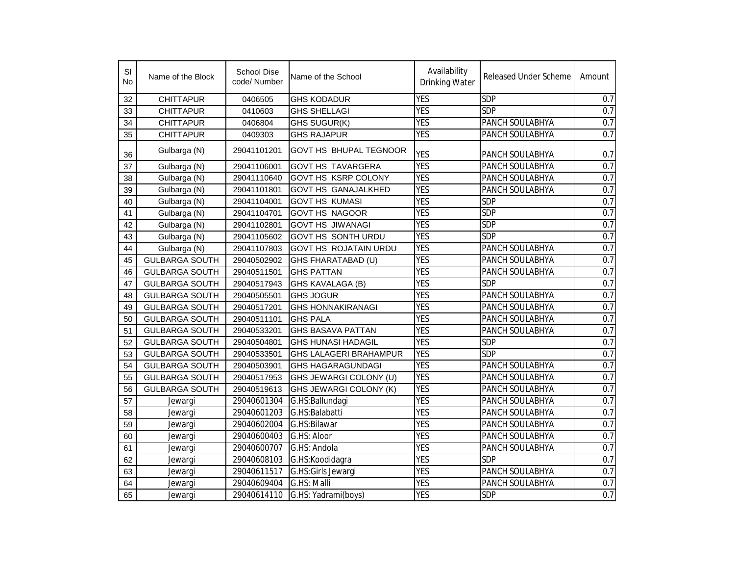| SI<br>No | Name of the Block     | <b>School Dise</b><br>code/Number | Name of the School            | Availability<br><b>Drinking Water</b> | <b>Released Under Scheme</b> | Amount           |
|----------|-----------------------|-----------------------------------|-------------------------------|---------------------------------------|------------------------------|------------------|
| 32       | <b>CHITTAPUR</b>      | 0406505                           | <b>GHS KODADUR</b>            | <b>YES</b>                            | <b>SDP</b>                   | 0.7              |
| 33       | <b>CHITTAPUR</b>      | 0410603                           | <b>GHS SHELLAGI</b>           | <b>YES</b>                            | <b>SDP</b>                   | 0.7              |
| 34       | <b>CHITTAPUR</b>      | 0406804                           | GHS SUGUR(K)                  | <b>YES</b>                            | PANCH SOULABHYA              | 0.7              |
| 35       | <b>CHITTAPUR</b>      | 0409303                           | <b>GHS RAJAPUR</b>            | <b>YES</b>                            | PANCH SOULABHYA              | 0.7              |
| 36       | Gulbarga (N)          | 29041101201                       | GOVT HS BHUPAL TEGNOOR        | <b>YES</b>                            | PANCH SOULABHYA              | 0.7              |
| 37       | Gulbarga (N)          | 29041106001                       | <b>GOVT HS TAVARGERA</b>      | <b>YES</b>                            | PANCH SOULABHYA              | 0.7              |
| 38       | Gulbarga (N)          | 29041110640                       | <b>GOVT HS KSRP COLONY</b>    | <b>YES</b>                            | PANCH SOULABHYA              | 0.7              |
| 39       | Gulbarga (N)          | 29041101801                       | <b>GOVT HS GANAJALKHED</b>    | <b>YES</b>                            | PANCH SOULABHYA              | $\overline{0.7}$ |
| 40       | Gulbarga (N)          | 29041104001                       | <b>GOVT HS KUMASI</b>         | <b>YES</b>                            | <b>SDP</b>                   | 0.7              |
| 41       | Gulbarga (N)          | 29041104701                       | <b>GOVT HS NAGOOR</b>         | <b>YES</b>                            | <b>SDP</b>                   | 0.7              |
| 42       | Gulbarga (N)          | 29041102801                       | <b>GOVT HS JIWANAGI</b>       | <b>YES</b>                            | <b>SDP</b>                   | 0.7              |
| 43       | Gulbarga (N)          | 29041105602                       | <b>GOVT HS SONTH URDU</b>     | <b>YES</b>                            | <b>SDP</b>                   | 0.7              |
| 44       | Gulbarga (N)          | 29041107803                       | <b>GOVT HS ROJATAIN URDU</b>  | <b>YES</b>                            | PANCH SOULABHYA              | 0.7              |
| 45       | <b>GULBARGA SOUTH</b> | 29040502902                       | GHS FHARATABAD (U)            | <b>YES</b>                            | PANCH SOULABHYA              | 0.7              |
| 46       | <b>GULBARGA SOUTH</b> | 29040511501                       | <b>GHS PATTAN</b>             | <b>YES</b>                            | PANCH SOULABHYA              | 0.7              |
| 47       | <b>GULBARGA SOUTH</b> | 29040517943                       | GHS KAVALAGA (B)              | <b>YES</b>                            | <b>SDP</b>                   | 0.7              |
| 48       | <b>GULBARGA SOUTH</b> | 29040505501                       | <b>GHS JOGUR</b>              | <b>YES</b>                            | PANCH SOULABHYA              | 0.7              |
| 49       | <b>GULBARGA SOUTH</b> | 29040517201                       | <b>GHS HONNAKIRANAGI</b>      | <b>YES</b>                            | PANCH SOULABHYA              | 0.7              |
| 50       | <b>GULBARGA SOUTH</b> | 29040511101                       | <b>GHS PALA</b>               | <b>YES</b>                            | PANCH SOULABHYA              | 0.7              |
| 51       | <b>GULBARGA SOUTH</b> | 29040533201                       | <b>GHS BASAVA PATTAN</b>      | <b>YES</b>                            | PANCH SOULABHYA              | 0.7              |
| 52       | <b>GULBARGA SOUTH</b> | 29040504801                       | <b>GHS HUNASI HADAGIL</b>     | <b>YES</b>                            | <b>SDP</b>                   | 0.7              |
| 53       | <b>GULBARGA SOUTH</b> | 29040533501                       | <b>GHS LALAGERI BRAHAMPUR</b> | <b>YES</b>                            | <b>SDP</b>                   | 0.7              |
| 54       | <b>GULBARGA SOUTH</b> | 29040503901                       | <b>GHS HAGARAGUNDAGI</b>      | <b>YES</b>                            | PANCH SOULABHYA              | 0.7              |
| 55       | <b>GULBARGA SOUTH</b> | 29040517953                       | GHS JEWARGI COLONY (U)        | <b>YES</b>                            | PANCH SOULABHYA              | 0.7              |
| 56       | <b>GULBARGA SOUTH</b> | 29040519613                       | GHS JEWARGI COLONY (K)        | <b>YES</b>                            | PANCH SOULABHYA              | 0.7              |
| 57       | Jewargi               | 29040601304                       | G.HS:Ballundagi               | <b>YES</b>                            | PANCH SOULABHYA              | 0.7              |
| 58       | Jewargi               | 29040601203                       | G.HS:Balabatti                | <b>YES</b>                            | PANCH SOULABHYA              | 0.7              |
| 59       | Jewargi               | 29040602004                       | G.HS:Bilawar                  | <b>YES</b>                            | PANCH SOULABHYA              | 0.7              |
| 60       | Jewargi               | 29040600403                       | G.HS: Aloor                   | <b>YES</b>                            | PANCH SOULABHYA              | 0.7              |
| 61       | Jewargi               | 29040600707                       | G.HS: Andola                  | <b>YES</b>                            | PANCH SOULABHYA              | 0.7              |
| 62       | Jewargi               | 29040608103                       | G.HS:Koodidagra               | <b>YES</b>                            | <b>SDP</b>                   | 0.7              |
| 63       | Jewargi               | 29040611517                       | G.HS:Girls Jewargi            | <b>YES</b>                            | PANCH SOULABHYA              | 0.7              |
| 64       | Jewargi               | 29040609404                       | G.HS: Malli                   | <b>YES</b>                            | PANCH SOULABHYA              | 0.7              |
| 65       | Jewargi               | 29040614110                       | G.HS: Yadrami(boys)           | <b>YES</b>                            | <b>SDP</b>                   | 0.7              |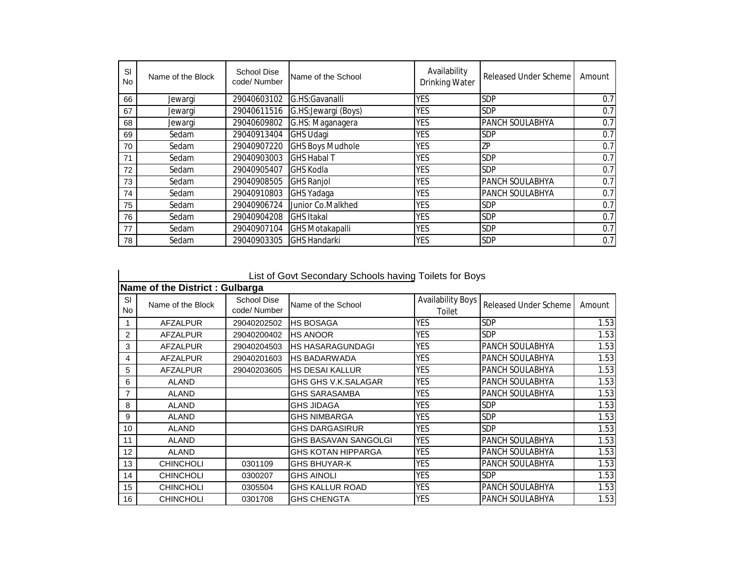| -SI<br><b>No</b> | Name of the Block | <b>School Dise</b><br>code/Number | Name of the School      | Availability<br><b>Drinking Water</b> | Released Under Scheme | Amount |
|------------------|-------------------|-----------------------------------|-------------------------|---------------------------------------|-----------------------|--------|
| 66               | Jewargi           | 29040603102                       | G.HS:Gavanalli          | <b>YES</b>                            | SDP                   | 0.7    |
| 67               | Jewargi           | 29040611516                       | G.HS: Jewargi (Boys)    | <b>YES</b>                            | SDP                   | 0.7    |
| 68               | Jewargi           | 29040609802                       | G.HS: Maganagera        | <b>YES</b>                            | PANCH SOULABHYA       | 0.7    |
| 69               | Sedam             | 29040913404                       | <b>GHS Udagi</b>        | <b>YES</b>                            | <b>SDP</b>            | 0.7    |
| 70               | Sedam             | 29040907220                       | <b>GHS Boys Mudhole</b> | <b>YES</b>                            | ZΡ                    | 0.7    |
| 71               | Sedam             | 29040903003                       | <b>GHS Habal T</b>      | <b>YES</b>                            | <b>SDP</b>            | 0.7    |
| 72               | Sedam             | 29040905407                       | <b>GHS Kodla</b>        | <b>YES</b>                            | SDP                   | 0.7    |
| 73               | Sedam             | 29040908505                       | <b>GHS Ranjol</b>       | <b>YES</b>                            | PANCH SOULABHYA       | 0.7    |
| 74               | Sedam             | 29040910803                       | <b>GHS Yadaga</b>       | <b>YES</b>                            | PANCH SOULABHYA       | 0.7    |
| 75               | Sedam             | 29040906724                       | Junior Co.Malkhed       | <b>YES</b>                            | SDP                   | 0.7    |
| 76               | Sedam             | 29040904208                       | <b>GHS Itakal</b>       | <b>YES</b>                            | SDP                   | 0.7    |
| 77               | Sedam             | 29040907104                       | <b>GHS Motakapalli</b>  | <b>YES</b>                            | <b>SDP</b>            | 0.7    |
| 78               | Sedam             | 29040903305                       | <b>GHS Handarki</b>     | <b>YES</b>                            | SDP                   | 0.7    |

|           |                                |                            | List of Govt Secondary Schools having Toilets for Boys |                                    |                              |        |
|-----------|--------------------------------|----------------------------|--------------------------------------------------------|------------------------------------|------------------------------|--------|
|           | Name of the District: Gulbarga |                            |                                                        |                                    |                              |        |
| SI<br>No. | Name of the Block              | School Dise<br>code/Number | Name of the School                                     | <b>Availability Boys</b><br>Toilet | <b>Released Under Scheme</b> | Amount |
|           | <b>AFZALPUR</b>                | 29040202502                | <b>HS BOSAGA</b>                                       | <b>YES</b>                         | <b>SDP</b>                   | 1.53   |
| 2         | <b>AFZALPUR</b>                | 29040200402                | <b>HS ANOOR</b>                                        | <b>YES</b>                         | <b>SDP</b>                   | 1.53   |
| 3         | <b>AFZALPUR</b>                | 29040204503                | <b>HS HASARAGUNDAGI</b>                                | <b>YES</b>                         | PANCH SOULABHYA              | 1.53   |
| 4         | <b>AFZALPUR</b>                | 29040201603                | <b>HS BADARWADA</b>                                    | <b>YES</b>                         | PANCH SOULABHYA              | 1.53   |
| 5         | <b>AFZALPUR</b>                | 29040203605                | <b>HS DESAI KALLUR</b>                                 | <b>YES</b>                         | PANCH SOULABHYA              | 1.53   |
| 6         | <b>ALAND</b>                   |                            | GHS GHS V.K.SALAGAR                                    | <b>YES</b>                         | PANCH SOULABHYA              | 1.53   |
| 7         | <b>ALAND</b>                   |                            | <b>GHS SARASAMBA</b>                                   | <b>YES</b>                         | PANCH SOULABHYA              | 1.53   |
| 8         | <b>ALAND</b>                   |                            | <b>GHS JIDAGA</b>                                      | <b>YES</b>                         | <b>SDP</b>                   | 1.53   |
| 9         | <b>ALAND</b>                   |                            | <b>GHS NIMBARGA</b>                                    | YES                                | <b>SDP</b>                   | 1.53   |
| 10        | <b>ALAND</b>                   |                            | <b>GHS DARGASIRUR</b>                                  | <b>YES</b>                         | <b>SDP</b>                   | 1.53   |
| 11        | <b>ALAND</b>                   |                            | GHS BASAVAN SANGOLGI                                   | <b>YES</b>                         | <b>PANCH SOULABHYA</b>       | 1.53   |
| 12        | <b>ALAND</b>                   |                            | GHS KOTAN HIPPARGA                                     | YES                                | <b>PANCH SOULABHYA</b>       | 1.53   |
| 13        | <b>CHINCHOLI</b>               | 0301109                    | <b>GHS BHUYAR-K</b>                                    | <b>YES</b>                         | PANCH SOULABHYA              | 1.53   |
| 14        | <b>CHINCHOLI</b>               | 0300207                    | <b>GHS AINOLI</b>                                      | <b>YES</b>                         | <b>SDP</b>                   | 1.53   |
| 15        | <b>CHINCHOLI</b>               | 0305504                    | <b>GHS KALLUR ROAD</b>                                 | <b>YES</b>                         | PANCH SOULABHYA              | 1.53   |
| 16        | <b>CHINCHOLI</b>               | 0301708                    | <b>GHS CHENGTA</b>                                     | <b>YES</b>                         | PANCH SOULABHYA              | 1.53   |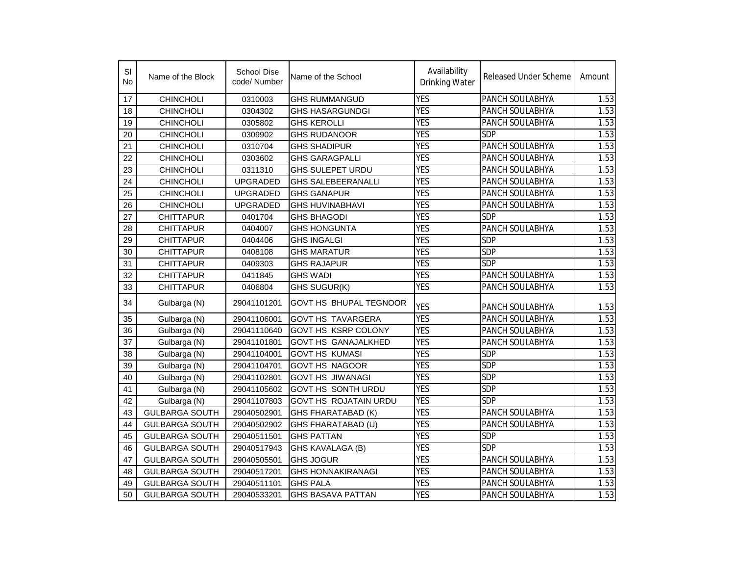| SI<br>No. | Name of the Block     | <b>School Dise</b><br>code/ Number | Name of the School           | Availability<br><b>Drinking Water</b> | Released Under Scheme | Amount            |
|-----------|-----------------------|------------------------------------|------------------------------|---------------------------------------|-----------------------|-------------------|
| 17        | <b>CHINCHOLI</b>      | 0310003                            | <b>GHS RUMMANGUD</b>         | <b>YES</b>                            | PANCH SOULABHYA       | 1.53              |
| 18        | <b>CHINCHOLI</b>      | 0304302                            | <b>GHS HASARGUNDGI</b>       | <b>YES</b>                            | PANCH SOULABHYA       | 1.53              |
| 19        | <b>CHINCHOLI</b>      | 0305802                            | <b>GHS KEROLLI</b>           | <b>YES</b>                            | PANCH SOULABHYA       | 1.53              |
| 20        | <b>CHINCHOLI</b>      | 0309902                            | <b>GHS RUDANOOR</b>          | <b>YES</b>                            | <b>SDP</b>            | 1.53              |
| 21        | <b>CHINCHOLI</b>      | 0310704                            | <b>GHS SHADIPUR</b>          | <b>YES</b>                            | PANCH SOULABHYA       | 1.53              |
| 22        | CHINCHOLI             | 0303602                            | <b>GHS GARAGPALLI</b>        | <b>YES</b>                            | PANCH SOULABHYA       | 1.53              |
| 23        | <b>CHINCHOLI</b>      | 0311310                            | <b>GHS SULEPET URDU</b>      | <b>YES</b>                            | PANCH SOULABHYA       | 1.53              |
| 24        | <b>CHINCHOLI</b>      | <b>UPGRADED</b>                    | <b>GHS SALEBEERANALLI</b>    | <b>YES</b>                            | PANCH SOULABHYA       | $1.\overline{53}$ |
| 25        | <b>CHINCHOLI</b>      | <b>UPGRADED</b>                    | <b>GHS GANAPUR</b>           | <b>YES</b>                            | PANCH SOULABHYA       | 1.53              |
| 26        | <b>CHINCHOLI</b>      | <b>UPGRADED</b>                    | <b>GHS HUVINABHAVI</b>       | <b>YES</b>                            | PANCH SOULABHYA       | 1.53              |
| 27        | <b>CHITTAPUR</b>      | 0401704                            | <b>GHS BHAGODI</b>           | <b>YES</b>                            | SDP                   | 1.53              |
| 28        | <b>CHITTAPUR</b>      | 0404007                            | <b>GHS HONGUNTA</b>          | <b>YES</b>                            | PANCH SOULABHYA       | 1.53              |
| 29        | <b>CHITTAPUR</b>      | 0404406                            | <b>GHS INGALGI</b>           | <b>YES</b>                            | <b>SDP</b>            | 1.53              |
| 30        | <b>CHITTAPUR</b>      | 0408108                            | <b>GHS MARATUR</b>           | <b>YES</b>                            | <b>SDP</b>            | 1.53              |
| 31        | <b>CHITTAPUR</b>      | 0409303                            | <b>GHS RAJAPUR</b>           | <b>YES</b>                            | <b>SDP</b>            | 1.53              |
| 32        | <b>CHITTAPUR</b>      | 0411845                            | <b>GHS WADI</b>              | <b>YES</b>                            | PANCH SOULABHYA       | 1.53              |
| 33        | <b>CHITTAPUR</b>      | 0406804                            | GHS SUGUR(K)                 | <b>YES</b>                            | PANCH SOULABHYA       | 1.53              |
| 34        | Gulbarga (N)          | 29041101201                        | GOVT HS BHUPAL TEGNOOR       | <b>YES</b>                            | PANCH SOULABHYA       | 1.53              |
| 35        | Gulbarga (N)          | 29041106001                        | <b>GOVT HS TAVARGERA</b>     | <b>YES</b>                            | PANCH SOULABHYA       | 1.53              |
| 36        | Gulbarga (N)          | 29041110640                        | <b>GOVT HS KSRP COLONY</b>   | <b>YES</b>                            | PANCH SOULABHYA       | 1.53              |
| 37        | Gulbarga (N)          | 29041101801                        | <b>GOVT HS GANAJALKHED</b>   | <b>YES</b>                            | PANCH SOULABHYA       | 1.53              |
| 38        | Gulbarga (N)          | 29041104001                        | <b>GOVT HS KUMASI</b>        | <b>YES</b>                            | SDP                   | 1.53              |
| 39        | Gulbarga (N)          | 29041104701                        | <b>GOVT HS NAGOOR</b>        | <b>YES</b>                            | SDP                   | 1.53              |
| 40        | Gulbarga (N)          | 29041102801                        | <b>GOVT HS JIWANAGI</b>      | <b>YES</b>                            | <b>SDP</b>            | 1.53              |
| 41        | Gulbarga (N)          | 29041105602                        | <b>GOVT HS SONTH URDU</b>    | <b>YES</b>                            | SDP                   | 1.53              |
| 42        | Gulbarga (N)          | 29041107803                        | <b>GOVT HS ROJATAIN URDU</b> | <b>YES</b>                            | <b>SDP</b>            | 1.53              |
| 43        | <b>GULBARGA SOUTH</b> | 29040502901                        | GHS FHARATABAD (K)           | <b>YES</b>                            | PANCH SOULABHYA       | 1.53              |
| 44        | <b>GULBARGA SOUTH</b> | 29040502902                        | GHS FHARATABAD (U)           | <b>YES</b>                            | PANCH SOULABHYA       | 1.53              |
| 45        | <b>GULBARGA SOUTH</b> | 29040511501                        | <b>GHS PATTAN</b>            | <b>YES</b>                            | <b>SDP</b>            | 1.53              |
| 46        | <b>GULBARGA SOUTH</b> | 29040517943                        | GHS KAVALAGA (B)             | <b>YES</b>                            | <b>SDP</b>            | 1.53              |
| 47        | <b>GULBARGA SOUTH</b> | 29040505501                        | <b>GHS JOGUR</b>             | <b>YES</b>                            | PANCH SOULABHYA       | 1.53              |
| 48        | <b>GULBARGA SOUTH</b> | 29040517201                        | <b>GHS HONNAKIRANAGI</b>     | <b>YES</b>                            | PANCH SOULABHYA       | 1.53              |
| 49        | <b>GULBARGA SOUTH</b> | 29040511101                        | <b>GHS PALA</b>              | <b>YES</b>                            | PANCH SOULABHYA       | 1.53              |
| 50        | <b>GULBARGA SOUTH</b> | 29040533201                        | <b>GHS BASAVA PATTAN</b>     | <b>YES</b>                            | PANCH SOULABHYA       | 1.53              |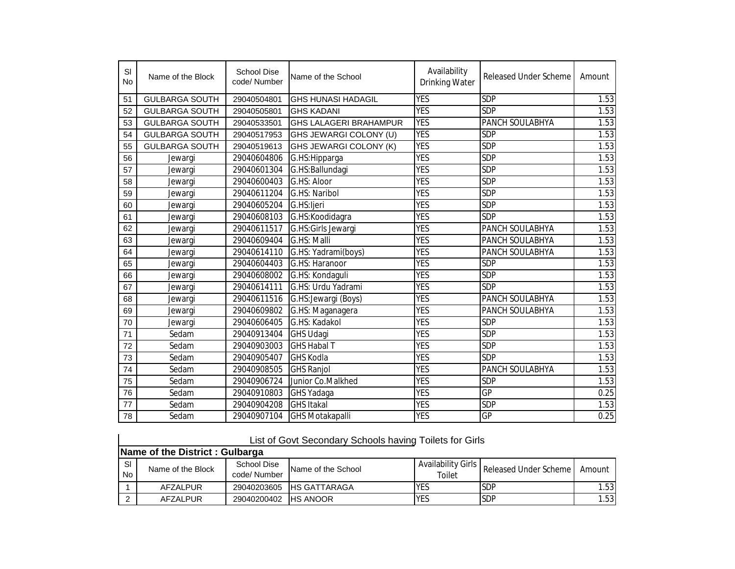| SI<br><b>No</b> | Name of the Block     | <b>School Dise</b><br>code/Number | Name of the School            | Availability<br>Drinking Water | <b>Released Under Scheme</b> | Amount |
|-----------------|-----------------------|-----------------------------------|-------------------------------|--------------------------------|------------------------------|--------|
| 51              | <b>GULBARGA SOUTH</b> | 29040504801                       | IGHS HUNASI HADAGIL           | <b>YES</b>                     | <b>SDP</b>                   | 1.53   |
| 52              | <b>GULBARGA SOUTH</b> | 29040505801                       | <b>GHS KADANI</b>             | <b>YES</b>                     | <b>SDP</b>                   | 1.53   |
| 53              | <b>GULBARGA SOUTH</b> | 29040533501                       | <b>GHS LALAGERI BRAHAMPUR</b> | <b>YES</b>                     | PANCH SOULABHYA              | 1.53   |
| 54              | <b>GULBARGA SOUTH</b> | 29040517953                       | GHS JEWARGI COLONY (U)        | <b>YES</b>                     | <b>SDP</b>                   | 1.53   |
| 55              | <b>GULBARGA SOUTH</b> | 29040519613                       | GHS JEWARGI COLONY (K)        | <b>YES</b>                     | <b>SDP</b>                   | 1.53   |
| 56              | Jewargi               | 29040604806                       | G.HS: Hipparga                | <b>YES</b>                     | <b>SDP</b>                   | 1.53   |
| 57              | Jewargi               | 29040601304                       | G.HS: Ballundagi              | <b>YES</b>                     | <b>SDP</b>                   | 1.53   |
| 58              | Jewargi               | 29040600403                       | G.HS: Aloor                   | <b>YES</b>                     | <b>SDP</b>                   | 1.53   |
| 59              | Jewargi               | 29040611204                       | G.HS: Naribol                 | <b>YES</b>                     | <b>SDP</b>                   | 1.53   |
| 60              | Jewargi               | 29040605204                       | G.HS:ljeri                    | <b>YES</b>                     | <b>SDP</b>                   | 1.53   |
| 61              | Jewargi               | 29040608103                       | G.HS:Koodidagra               | <b>YES</b>                     | <b>SDP</b>                   | 1.53   |
| 62              | Jewargi               | 29040611517                       | G.HS:Girls Jewargi            | <b>YES</b>                     | PANCH SOULABHYA              | 1.53   |
| 63              | Jewargi               | 29040609404                       | G.HS: Malli                   | <b>YES</b>                     | PANCH SOULABHYA              | 1.53   |
| 64              | Jewargi               | 29040614110                       | G.HS: Yadrami(boys)           | <b>YES</b>                     | PANCH SOULABHYA              | 1.53   |
| 65              | Jewargi               | 29040604403                       | G.HS: Haranoor                | <b>YES</b>                     | <b>SDP</b>                   | 1.53   |
| 66              | Jewargi               | 29040608002                       | G.HS: Kondaguli               | <b>YES</b>                     | <b>SDP</b>                   | 1.53   |
| 67              | Jewargi               | 29040614111                       | G.HS: Urdu Yadrami            | <b>YES</b>                     | <b>SDP</b>                   | 1.53   |
| 68              | Jewargi               | 29040611516                       | G.HS: Jewargi (Boys)          | <b>YES</b>                     | PANCH SOULABHYA              | 1.53   |
| 69              | Jewargi               | 29040609802                       | G.HS: Maganagera              | <b>YES</b>                     | PANCH SOULABHYA              | 1.53   |
| 70              | Jewargi               | 29040606405                       | G.HS: Kadakol                 | <b>YES</b>                     | <b>SDP</b>                   | 1.53   |
| 71              | Sedam                 | 29040913404                       | <b>GHS Udagi</b>              | <b>YES</b>                     | <b>SDP</b>                   | 1.53   |
| 72              | Sedam                 | 29040903003                       | <b>GHS Habal T</b>            | <b>YES</b>                     | <b>SDP</b>                   | 1.53   |
| 73              | Sedam                 | 29040905407                       | <b>GHS Kodla</b>              | <b>YES</b>                     | <b>SDP</b>                   | 1.53   |
| 74              | Sedam                 | 29040908505                       | <b>GHS Ranjol</b>             | <b>YES</b>                     | PANCH SOULABHYA              | 1.53   |
| 75              | Sedam                 | 29040906724                       | Junior Co.Malkhed             | <b>YES</b>                     | <b>SDP</b>                   | 1.53   |
| 76              | Sedam                 | 29040910803                       | GHS Yadaga                    | <b>YES</b>                     | $\overline{\mathsf{GP}}$     | 0.25   |
| 77              | Sedam                 | 29040904208                       | <b>GHS Itakal</b>             | <b>YES</b>                     | SDP                          | 1.53   |
| 78              | Sedam                 | 29040907104                       | <b>GHS Motakapalli</b>        | <b>YES</b>                     | GP                           | 0.25   |

|--|

|                  | Name of the District: Gulbarga |                            |                           |                                     |                       |        |  |  |  |  |
|------------------|--------------------------------|----------------------------|---------------------------|-------------------------------------|-----------------------|--------|--|--|--|--|
| -SI<br><b>No</b> | Name of the Block              | School Dise<br>code/Number | Name of the School        | <b>Availability Girls</b><br>Toilet | Released Under Scheme | Amount |  |  |  |  |
|                  | AFZALPUR                       |                            | 29040203605 IHS GATTARAGA | YES                                 | <b>SDP</b>            | 1.53   |  |  |  |  |
|                  | AFZALPUR                       | 29040200402 HS ANOOR       |                           | <b>YES</b>                          | <b>SDP</b>            | 1.53   |  |  |  |  |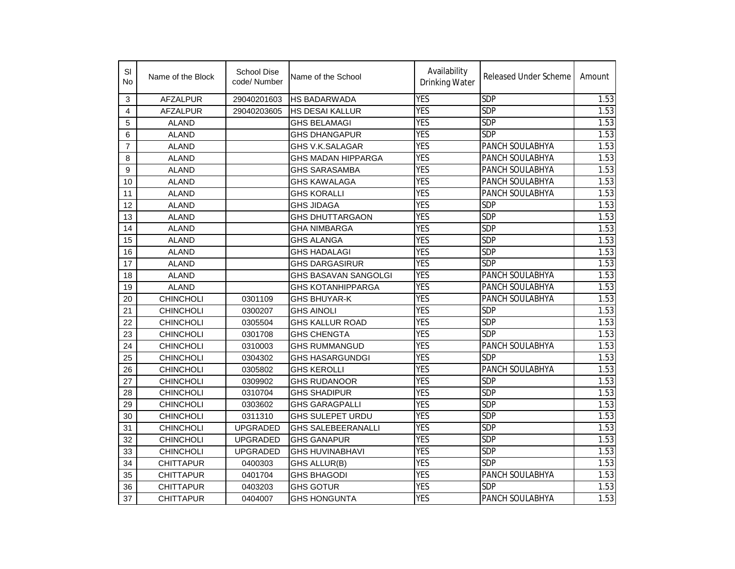| SI<br>No       | Name of the Block | School Dise<br>code/Number | Name of the School        | Availability<br>Drinking Water | Released Under Scheme | Amount |
|----------------|-------------------|----------------------------|---------------------------|--------------------------------|-----------------------|--------|
| 3              | <b>AFZALPUR</b>   | 29040201603                | HS BADARWADA              | <b>YES</b>                     | <b>SDP</b>            | 1.53   |
| 4              | <b>AFZALPUR</b>   | 29040203605                | HS DESAI KALLUR           | <b>YES</b>                     | SDP                   | 1.53   |
| 5              | <b>ALAND</b>      |                            | <b>GHS BELAMAGI</b>       | <b>YES</b>                     | SDP                   | 1.53   |
| 6              | <b>ALAND</b>      |                            | <b>GHS DHANGAPUR</b>      | <b>YES</b>                     | SDP                   | 1.53   |
| $\overline{7}$ | <b>ALAND</b>      |                            | GHS V.K.SALAGAR           | <b>YES</b>                     | PANCH SOULABHYA       | 1.53   |
| 8              | <b>ALAND</b>      |                            | GHS MADAN HIPPARGA        | <b>YES</b>                     | PANCH SOULABHYA       | 1.53   |
| 9              | <b>ALAND</b>      |                            | <b>GHS SARASAMBA</b>      | <b>YES</b>                     | PANCH SOULABHYA       | 1.53   |
| 10             | <b>ALAND</b>      |                            | <b>GHS KAWALAGA</b>       | <b>YES</b>                     | PANCH SOULABHYA       | 1.53   |
| 11             | <b>ALAND</b>      |                            | <b>GHS KORALLI</b>        | <b>YES</b>                     | PANCH SOULABHYA       | 1.53   |
| 12             | <b>ALAND</b>      |                            | <b>GHS JIDAGA</b>         | <b>YES</b>                     | <b>SDP</b>            | 1.53   |
| 13             | <b>ALAND</b>      |                            | <b>GHS DHUTTARGAON</b>    | <b>YES</b>                     | SDP                   | 1.53   |
| 14             | <b>ALAND</b>      |                            | <b>GHA NIMBARGA</b>       | <b>YES</b>                     | <b>SDP</b>            | 1.53   |
| 15             | <b>ALAND</b>      |                            | <b>GHS ALANGA</b>         | <b>YES</b>                     | <b>SDP</b>            | 1.53   |
| 16             | <b>ALAND</b>      |                            | GHS HADALAGI              | <b>YES</b>                     | <b>SDP</b>            | 1.53   |
| 17             | <b>ALAND</b>      |                            | GHS DARGASIRUR            | <b>YES</b>                     | <b>SDP</b>            | 1.53   |
| 18             | <b>ALAND</b>      |                            | GHS BASAVAN SANGOLGI      | <b>YES</b>                     | PANCH SOULABHYA       | 1.53   |
| 19             | <b>ALAND</b>      |                            | <b>GHS KOTANHIPPARGA</b>  | <b>YES</b>                     | PANCH SOULABHYA       | 1.53   |
| 20             | <b>CHINCHOLI</b>  | 0301109                    | GHS BHUYAR-K              | <b>YES</b>                     | PANCH SOULABHYA       | 1.53   |
| 21             | <b>CHINCHOLI</b>  | 0300207                    | GHS AINOLI                | <b>YES</b>                     | SDP                   | 1.53   |
| 22             | <b>CHINCHOLI</b>  | 0305504                    | <b>GHS KALLUR ROAD</b>    | <b>YES</b>                     | <b>SDP</b>            | 1.53   |
| 23             | <b>CHINCHOLI</b>  | 0301708                    | <b>GHS CHENGTA</b>        | <b>YES</b>                     | <b>SDP</b>            | 1.53   |
| 24             | <b>CHINCHOLI</b>  | 0310003                    | <b>GHS RUMMANGUD</b>      | <b>YES</b>                     | PANCH SOULABHYA       | 1.53   |
| 25             | <b>CHINCHOLI</b>  | 0304302                    | <b>GHS HASARGUNDGI</b>    | <b>YES</b>                     | <b>SDP</b>            | 1.53   |
| 26             | CHINCHOLI         | 0305802                    | <b>GHS KEROLLI</b>        | <b>YES</b>                     | PANCH SOULABHYA       | 1.53   |
| 27             | <b>CHINCHOLI</b>  | 0309902                    | GHS RUDANOOR              | <b>YES</b>                     | <b>SDP</b>            | 1.53   |
| 28             | <b>CHINCHOLI</b>  | 0310704                    | <b>GHS SHADIPUR</b>       | <b>YES</b>                     | <b>SDP</b>            | 1.53   |
| 29             | <b>CHINCHOLI</b>  | 0303602                    | <b>GHS GARAGPALLI</b>     | <b>YES</b>                     | <b>SDP</b>            | 1.53   |
| 30             | <b>CHINCHOLI</b>  | 0311310                    | GHS SULEPET URDU          | <b>YES</b>                     | <b>SDP</b>            | 1.53   |
| 31             | <b>CHINCHOLI</b>  | <b>UPGRADED</b>            | <b>GHS SALEBEERANALLI</b> | <b>YES</b>                     | <b>SDP</b>            | 1.53   |
| 32             | <b>CHINCHOLI</b>  | <b>UPGRADED</b>            | <b>GHS GANAPUR</b>        | <b>YES</b>                     | <b>SDP</b>            | 1.53   |
| 33             | <b>CHINCHOLI</b>  | <b>UPGRADED</b>            | <b>GHS HUVINABHAVI</b>    | <b>YES</b>                     | <b>SDP</b>            | 1.53   |
| 34             | <b>CHITTAPUR</b>  | 0400303                    | GHS ALLUR(B)              | <b>YES</b>                     | <b>SDP</b>            | 1.53   |
| 35             | <b>CHITTAPUR</b>  | 0401704                    | <b>GHS BHAGODI</b>        | <b>YES</b>                     | PANCH SOULABHYA       | 1.53   |
| 36             | <b>CHITTAPUR</b>  | 0403203                    | GHS GOTUR                 | <b>YES</b>                     | SDP                   | 1.53   |
| 37             | <b>CHITTAPUR</b>  | 0404007                    | GHS HONGUNTA              | <b>YES</b>                     | PANCH SOULABHYA       | 1.53   |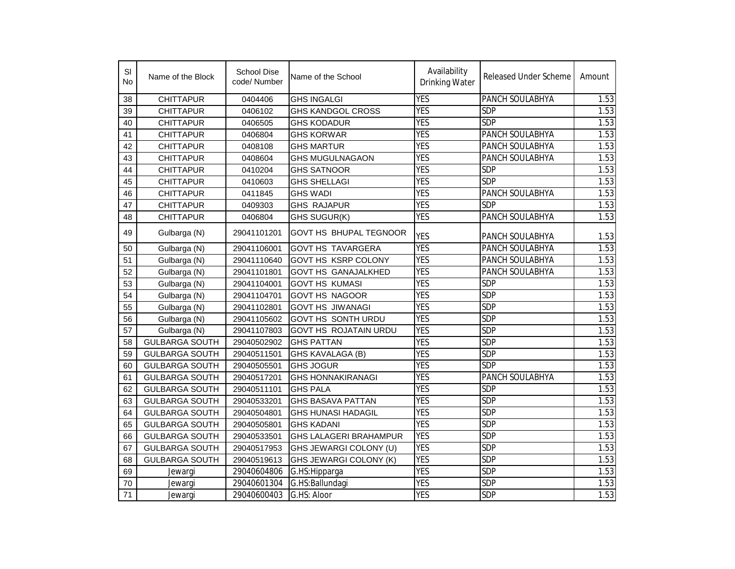| SI<br>No | Name of the Block     | <b>School Dise</b><br>code/Number | Name of the School            | Availability<br><b>Drinking Water</b> | <b>Released Under Scheme</b> | Amount |
|----------|-----------------------|-----------------------------------|-------------------------------|---------------------------------------|------------------------------|--------|
| 38       | <b>CHITTAPUR</b>      | 0404406                           | <b>GHS INGALGI</b>            | <b>YES</b>                            | PANCH SOULABHYA              | 1.53   |
| 39       | <b>CHITTAPUR</b>      | 0406102                           | <b>GHS KANDGOL CROSS</b>      | <b>YES</b>                            | <b>SDP</b>                   | 1.53   |
| 40       | <b>CHITTAPUR</b>      | 0406505                           | <b>GHS KODADUR</b>            | <b>YES</b>                            | <b>SDP</b>                   | 1.53   |
| 41       | <b>CHITTAPUR</b>      | 0406804                           | <b>GHS KORWAR</b>             | <b>YES</b>                            | PANCH SOULABHYA              | 1.53   |
| 42       | <b>CHITTAPUR</b>      | 0408108                           | <b>GHS MARTUR</b>             | <b>YES</b>                            | PANCH SOULABHYA              | 1.53   |
| 43       | <b>CHITTAPUR</b>      | 0408604                           | <b>GHS MUGULNAGAON</b>        | <b>YES</b>                            | PANCH SOULABHYA              | 1.53   |
| 44       | <b>CHITTAPUR</b>      | 0410204                           | <b>GHS SATNOOR</b>            | <b>YES</b>                            | <b>SDP</b>                   | 1.53   |
| 45       | <b>CHITTAPUR</b>      | 0410603                           | <b>GHS SHELLAGI</b>           | <b>YES</b>                            | <b>SDP</b>                   | 1.53   |
| 46       | <b>CHITTAPUR</b>      | 0411845                           | <b>GHS WADI</b>               | <b>YES</b>                            | PANCH SOULABHYA              | 1.53   |
| 47       | <b>CHITTAPUR</b>      | 0409303                           | <b>GHS RAJAPUR</b>            | <b>YES</b>                            | <b>SDP</b>                   | 1.53   |
| 48       | <b>CHITTAPUR</b>      | 0406804                           | GHS SUGUR(K)                  | <b>YES</b>                            | PANCH SOULABHYA              | 1.53   |
| 49       | Gulbarga (N)          | 29041101201                       | GOVT HS BHUPAL TEGNOOR        | <b>YES</b>                            | PANCH SOULABHYA              | 1.53   |
| 50       | Gulbarga (N)          | 29041106001                       | <b>GOVT HS TAVARGERA</b>      | <b>YES</b>                            | PANCH SOULABHYA              | 1.53   |
| 51       | Gulbarga (N)          | 29041110640                       | <b>GOVT HS KSRP COLONY</b>    | <b>YES</b>                            | PANCH SOULABHYA              | 1.53   |
| 52       | Gulbarga (N)          | 29041101801                       | <b>GOVT HS GANAJALKHED</b>    | <b>YES</b>                            | PANCH SOULABHYA              | 1.53   |
| 53       | Gulbarga (N)          | 29041104001                       | <b>GOVT HS KUMASI</b>         | <b>YES</b>                            | SDP                          | 1.53   |
| 54       | Gulbarga (N)          | 29041104701                       | <b>GOVT HS NAGOOR</b>         | <b>YES</b>                            | <b>SDP</b>                   | 1.53   |
| 55       | Gulbarga (N)          | 29041102801                       | <b>GOVT HS JIWANAGI</b>       | <b>YES</b>                            | <b>SDP</b>                   | 1.53   |
| 56       | Gulbarga (N)          | 29041105602                       | <b>GOVT HS SONTH URDU</b>     | <b>YES</b>                            | <b>SDP</b>                   | 1.53   |
| 57       | Gulbarga (N)          | 29041107803                       | <b>GOVT HS ROJATAIN URDU</b>  | <b>YES</b>                            | <b>SDP</b>                   | 1.53   |
| 58       | <b>GULBARGA SOUTH</b> | 29040502902                       | <b>GHS PATTAN</b>             | <b>YES</b>                            | <b>SDP</b>                   | 1.53   |
| 59       | <b>GULBARGA SOUTH</b> | 29040511501                       | GHS KAVALAGA (B)              | <b>YES</b>                            | <b>SDP</b>                   | 1.53   |
| 60       | <b>GULBARGA SOUTH</b> | 29040505501                       | <b>GHS JOGUR</b>              | <b>YES</b>                            | <b>SDP</b>                   | 1.53   |
| 61       | <b>GULBARGA SOUTH</b> | 29040517201                       | <b>GHS HONNAKIRANAGI</b>      | <b>YES</b>                            | PANCH SOULABHYA              | 1.53   |
| 62       | <b>GULBARGA SOUTH</b> | 29040511101                       | <b>GHS PALA</b>               | <b>YES</b>                            | <b>SDP</b>                   | 1.53   |
| 63       | <b>GULBARGA SOUTH</b> | 29040533201                       | <b>GHS BASAVA PATTAN</b>      | <b>YES</b>                            | <b>SDP</b>                   | 1.53   |
| 64       | <b>GULBARGA SOUTH</b> | 29040504801                       | <b>GHS HUNASI HADAGIL</b>     | <b>YES</b>                            | <b>SDP</b>                   | 1.53   |
| 65       | <b>GULBARGA SOUTH</b> | 29040505801                       | <b>GHS KADANI</b>             | <b>YES</b>                            | <b>SDP</b>                   | 1.53   |
| 66       | <b>GULBARGA SOUTH</b> | 29040533501                       | <b>GHS LALAGERI BRAHAMPUR</b> | <b>YES</b>                            | <b>SDP</b>                   | 1.53   |
| 67       | <b>GULBARGA SOUTH</b> | 29040517953                       | GHS JEWARGI COLONY (U)        | <b>YES</b>                            | <b>SDP</b>                   | 1.53   |
| 68       | <b>GULBARGA SOUTH</b> | 29040519613                       | GHS JEWARGI COLONY (K)        | <b>YES</b>                            | <b>SDP</b>                   | 1.53   |
| 69       | Jewargi               | 29040604806                       | G.HS: Hipparga                | <b>YES</b>                            | <b>SDP</b>                   | 1.53   |
| 70       | Jewargi               | 29040601304                       | G.HS:Ballundagi               | <b>YES</b>                            | <b>SDP</b>                   | 1.53   |
| 71       | Jewargi               | 29040600403                       | G.HS: Aloor                   | <b>YES</b>                            | <b>SDP</b>                   | 1.53   |